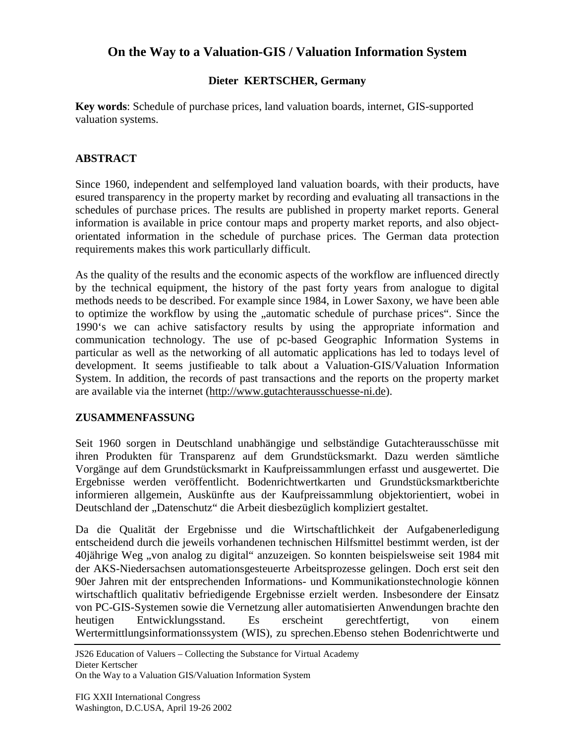# **On the Way to a Valuation-GIS / Valuation Information System**

### **Dieter KERTSCHER, Germany**

**Key words**: Schedule of purchase prices, land valuation boards, internet, GIS-supported valuation systems.

#### **ABSTRACT**

Since 1960, independent and selfemployed land valuation boards, with their products, have esured transparency in the property market by recording and evaluating all transactions in the schedules of purchase prices. The results are published in property market reports. General information is available in price contour maps and property market reports, and also objectorientated information in the schedule of purchase prices. The German data protection requirements makes this work particullarly difficult.

As the quality of the results and the economic aspects of the workflow are influenced directly by the technical equipment, the history of the past forty years from analogue to digital methods needs to be described. For example since 1984, in Lower Saxony, we have been able to optimize the workflow by using the "automatic schedule of purchase prices". Since the 1990's we can achive satisfactory results by using the appropriate information and communication technology. The use of pc-based Geographic Information Systems in particular as well as the networking of all automatic applications has led to todays level of development. It seems justifieable to talk about a Valuation-GIS/Valuation Information System. In addition, the records of past transactions and the reports on the property market are available via the internet (http://www.gutachterausschuesse-ni.de).

#### **ZUSAMMENFASSUNG**

Seit 1960 sorgen in Deutschland unabhängige und selbständige Gutachterausschüsse mit ihren Produkten für Transparenz auf dem Grundstücksmarkt. Dazu werden sämtliche Vorgänge auf dem Grundstücksmarkt in Kaufpreissammlungen erfasst und ausgewertet. Die Ergebnisse werden veröffentlicht. Bodenrichtwertkarten und Grundstücksmarktberichte informieren allgemein, Auskünfte aus der Kaufpreissammlung objektorientiert, wobei in Deutschland der "Datenschutz" die Arbeit diesbezüglich kompliziert gestaltet.

Da die Qualität der Ergebnisse und die Wirtschaftlichkeit der Aufgabenerledigung entscheidend durch die jeweils vorhandenen technischen Hilfsmittel bestimmt werden, ist der 40jährige Weg "von analog zu digital" anzuzeigen. So konnten beispielsweise seit 1984 mit der AKS-Niedersachsen automationsgesteuerte Arbeitsprozesse gelingen. Doch erst seit den 90er Jahren mit der entsprechenden Informations- und Kommunikationstechnologie können wirtschaftlich qualitativ befriedigende Ergebnisse erzielt werden. Insbesondere der Einsatz von PC-GIS-Systemen sowie die Vernetzung aller automatisierten Anwendungen brachte den heutigen Entwicklungsstand. Es erscheint gerechtfertigt, von einem Wertermittlungsinformationssystem (WIS), zu sprechen.Ebenso stehen Bodenrichtwerte und

JS26 Education of Valuers – Collecting the Substance for Virtual Academy Dieter Kertscher

On the Way to a Valuation GIS/Valuation Information System